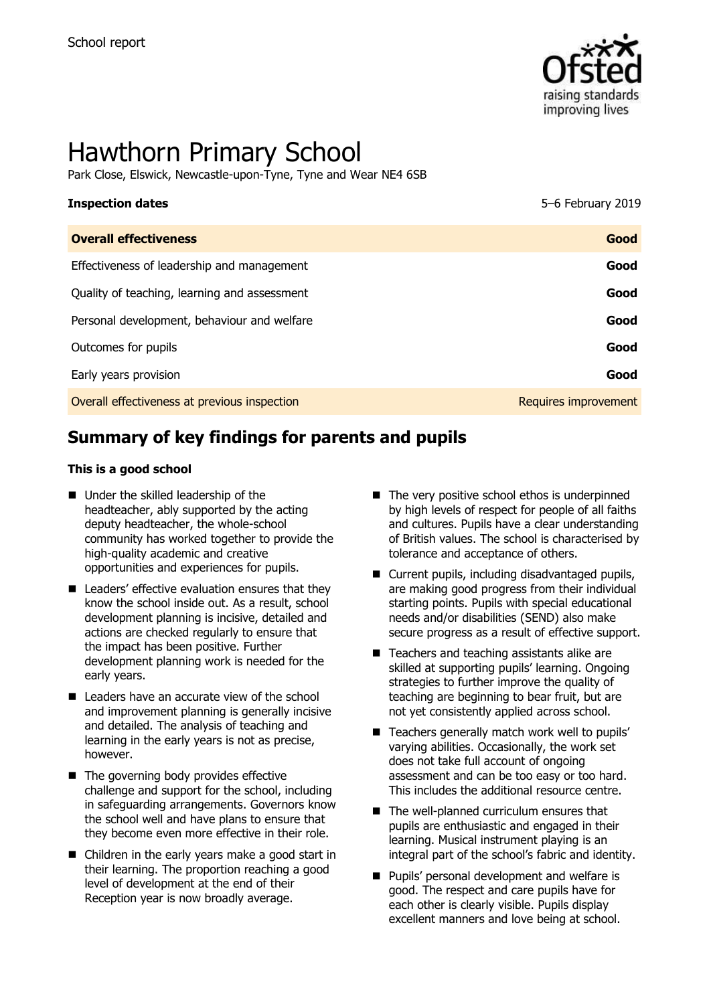

# Hawthorn Primary School

Park Close, Elswick, Newcastle-upon-Tyne, Tyne and Wear NE4 6SB

| 5-6 February 2019    |
|----------------------|
| Good                 |
| Good                 |
| Good                 |
| Good                 |
| Good                 |
| Good                 |
| Requires improvement |
|                      |

# **Summary of key findings for parents and pupils**

#### **This is a good school**

- Under the skilled leadership of the headteacher, ably supported by the acting deputy headteacher, the whole-school community has worked together to provide the high-quality academic and creative opportunities and experiences for pupils.
- Leaders' effective evaluation ensures that they know the school inside out. As a result, school development planning is incisive, detailed and actions are checked regularly to ensure that the impact has been positive. Further development planning work is needed for the early years.
- Leaders have an accurate view of the school and improvement planning is generally incisive and detailed. The analysis of teaching and learning in the early years is not as precise, however.
- The governing body provides effective challenge and support for the school, including in safeguarding arrangements. Governors know the school well and have plans to ensure that they become even more effective in their role.
- Children in the early years make a good start in their learning. The proportion reaching a good level of development at the end of their Reception year is now broadly average.
- The very positive school ethos is underpinned by high levels of respect for people of all faiths and cultures. Pupils have a clear understanding of British values. The school is characterised by tolerance and acceptance of others.
- Current pupils, including disadvantaged pupils, are making good progress from their individual starting points. Pupils with special educational needs and/or disabilities (SEND) also make secure progress as a result of effective support.
- Teachers and teaching assistants alike are skilled at supporting pupils' learning. Ongoing strategies to further improve the quality of teaching are beginning to bear fruit, but are not yet consistently applied across school.
- Teachers generally match work well to pupils' varying abilities. Occasionally, the work set does not take full account of ongoing assessment and can be too easy or too hard. This includes the additional resource centre.
- The well-planned curriculum ensures that pupils are enthusiastic and engaged in their learning. Musical instrument playing is an integral part of the school's fabric and identity.
- **Pupils' personal development and welfare is** good. The respect and care pupils have for each other is clearly visible. Pupils display excellent manners and love being at school.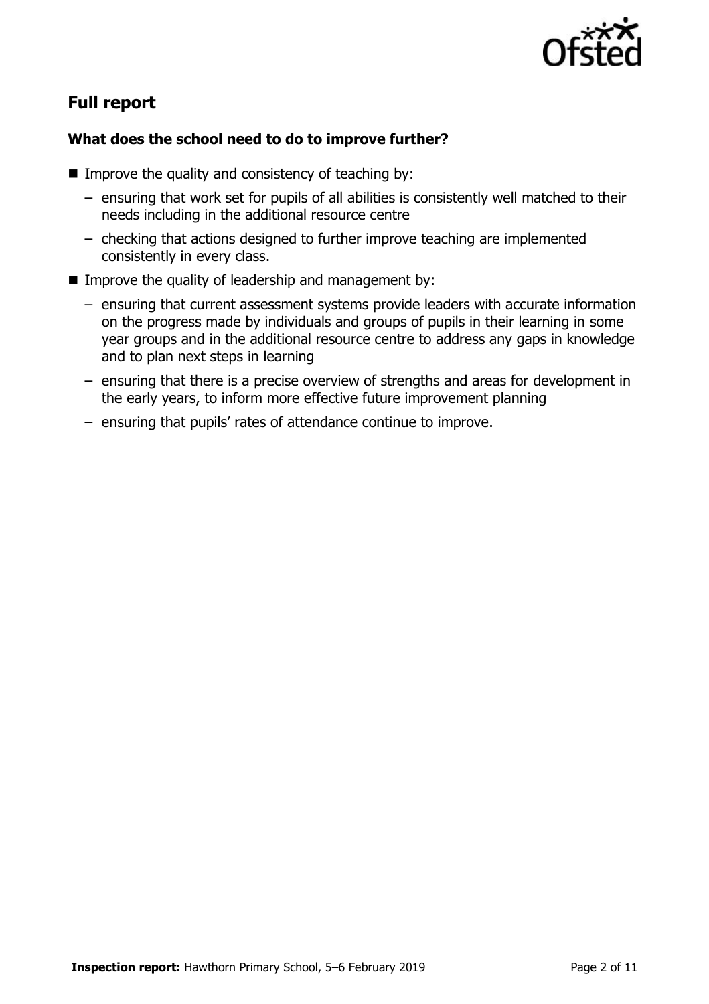

# **Full report**

#### **What does the school need to do to improve further?**

- Improve the quality and consistency of teaching by:
	- ensuring that work set for pupils of all abilities is consistently well matched to their needs including in the additional resource centre
	- checking that actions designed to further improve teaching are implemented consistently in every class.
- Improve the quality of leadership and management by:
	- ensuring that current assessment systems provide leaders with accurate information on the progress made by individuals and groups of pupils in their learning in some year groups and in the additional resource centre to address any gaps in knowledge and to plan next steps in learning
	- ensuring that there is a precise overview of strengths and areas for development in the early years, to inform more effective future improvement planning
	- ensuring that pupils' rates of attendance continue to improve.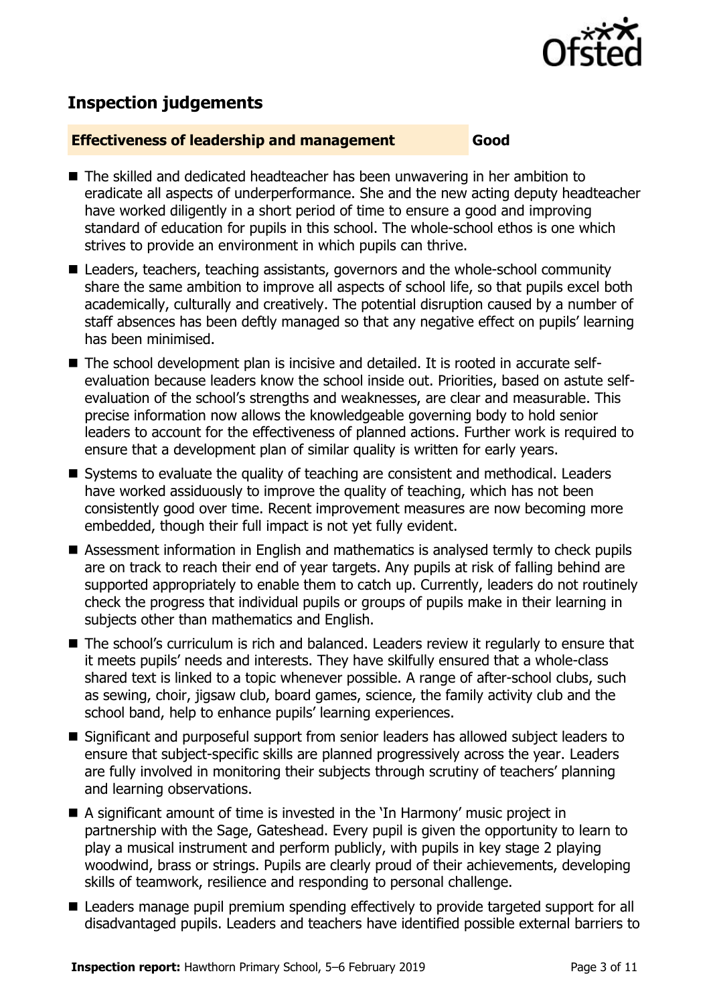

# **Inspection judgements**

#### **Effectiveness of leadership and management Good**

- The skilled and dedicated headteacher has been unwavering in her ambition to eradicate all aspects of underperformance. She and the new acting deputy headteacher have worked diligently in a short period of time to ensure a good and improving standard of education for pupils in this school. The whole-school ethos is one which strives to provide an environment in which pupils can thrive.
- Leaders, teachers, teaching assistants, governors and the whole-school community share the same ambition to improve all aspects of school life, so that pupils excel both academically, culturally and creatively. The potential disruption caused by a number of staff absences has been deftly managed so that any negative effect on pupils' learning has been minimised.
- The school development plan is incisive and detailed. It is rooted in accurate selfevaluation because leaders know the school inside out. Priorities, based on astute selfevaluation of the school's strengths and weaknesses, are clear and measurable. This precise information now allows the knowledgeable governing body to hold senior leaders to account for the effectiveness of planned actions. Further work is required to ensure that a development plan of similar quality is written for early years.
- Systems to evaluate the quality of teaching are consistent and methodical. Leaders have worked assiduously to improve the quality of teaching, which has not been consistently good over time. Recent improvement measures are now becoming more embedded, though their full impact is not yet fully evident.
- Assessment information in English and mathematics is analysed termly to check pupils are on track to reach their end of year targets. Any pupils at risk of falling behind are supported appropriately to enable them to catch up. Currently, leaders do not routinely check the progress that individual pupils or groups of pupils make in their learning in subjects other than mathematics and English.
- The school's curriculum is rich and balanced. Leaders review it regularly to ensure that it meets pupils' needs and interests. They have skilfully ensured that a whole-class shared text is linked to a topic whenever possible. A range of after-school clubs, such as sewing, choir, jigsaw club, board games, science, the family activity club and the school band, help to enhance pupils' learning experiences.
- Significant and purposeful support from senior leaders has allowed subject leaders to ensure that subject-specific skills are planned progressively across the year. Leaders are fully involved in monitoring their subjects through scrutiny of teachers' planning and learning observations.
- A significant amount of time is invested in the 'In Harmony' music project in partnership with the Sage, Gateshead. Every pupil is given the opportunity to learn to play a musical instrument and perform publicly, with pupils in key stage 2 playing woodwind, brass or strings. Pupils are clearly proud of their achievements, developing skills of teamwork, resilience and responding to personal challenge.
- Leaders manage pupil premium spending effectively to provide targeted support for all disadvantaged pupils. Leaders and teachers have identified possible external barriers to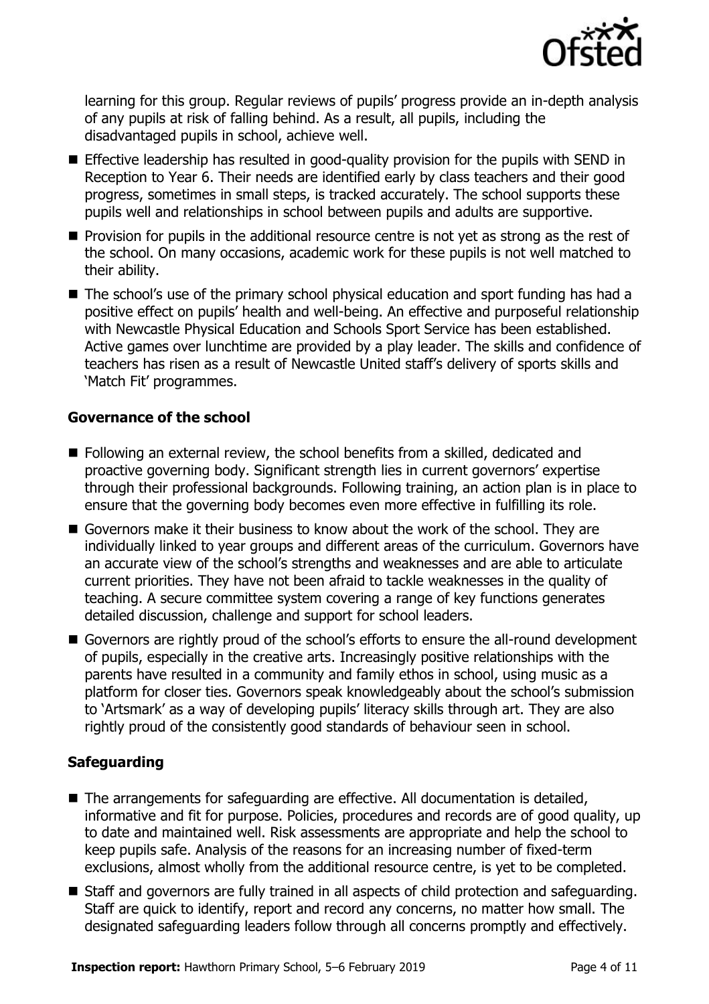

learning for this group. Regular reviews of pupils' progress provide an in-depth analysis of any pupils at risk of falling behind. As a result, all pupils, including the disadvantaged pupils in school, achieve well.

- Effective leadership has resulted in good-quality provision for the pupils with SEND in Reception to Year 6. Their needs are identified early by class teachers and their good progress, sometimes in small steps, is tracked accurately. The school supports these pupils well and relationships in school between pupils and adults are supportive.
- **Provision for pupils in the additional resource centre is not yet as strong as the rest of** the school. On many occasions, academic work for these pupils is not well matched to their ability.
- The school's use of the primary school physical education and sport funding has had a positive effect on pupils' health and well-being. An effective and purposeful relationship with Newcastle Physical Education and Schools Sport Service has been established. Active games over lunchtime are provided by a play leader. The skills and confidence of teachers has risen as a result of Newcastle United staff's delivery of sports skills and 'Match Fit' programmes.

#### **Governance of the school**

- Following an external review, the school benefits from a skilled, dedicated and proactive governing body. Significant strength lies in current governors' expertise through their professional backgrounds. Following training, an action plan is in place to ensure that the governing body becomes even more effective in fulfilling its role.
- Governors make it their business to know about the work of the school. They are individually linked to year groups and different areas of the curriculum. Governors have an accurate view of the school's strengths and weaknesses and are able to articulate current priorities. They have not been afraid to tackle weaknesses in the quality of teaching. A secure committee system covering a range of key functions generates detailed discussion, challenge and support for school leaders.
- Governors are rightly proud of the school's efforts to ensure the all-round development of pupils, especially in the creative arts. Increasingly positive relationships with the parents have resulted in a community and family ethos in school, using music as a platform for closer ties. Governors speak knowledgeably about the school's submission to 'Artsmark' as a way of developing pupils' literacy skills through art. They are also rightly proud of the consistently good standards of behaviour seen in school.

#### **Safeguarding**

- The arrangements for safeguarding are effective. All documentation is detailed, informative and fit for purpose. Policies, procedures and records are of good quality, up to date and maintained well. Risk assessments are appropriate and help the school to keep pupils safe. Analysis of the reasons for an increasing number of fixed-term exclusions, almost wholly from the additional resource centre, is yet to be completed.
- Staff and governors are fully trained in all aspects of child protection and safeguarding. Staff are quick to identify, report and record any concerns, no matter how small. The designated safeguarding leaders follow through all concerns promptly and effectively.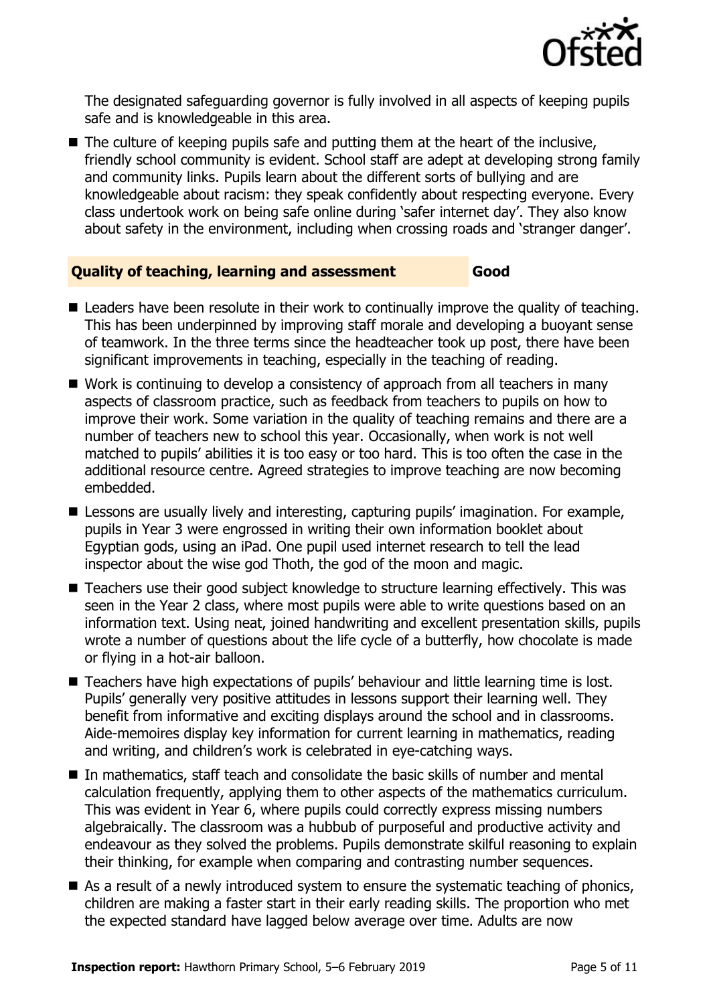

The designated safeguarding governor is fully involved in all aspects of keeping pupils safe and is knowledgeable in this area.

 $\blacksquare$  The culture of keeping pupils safe and putting them at the heart of the inclusive, friendly school community is evident. School staff are adept at developing strong family and community links. Pupils learn about the different sorts of bullying and are knowledgeable about racism: they speak confidently about respecting everyone. Every class undertook work on being safe online during 'safer internet day'. They also know about safety in the environment, including when crossing roads and 'stranger danger'.

#### **Quality of teaching, learning and assessment Good**

- Leaders have been resolute in their work to continually improve the quality of teaching. This has been underpinned by improving staff morale and developing a buoyant sense of teamwork. In the three terms since the headteacher took up post, there have been significant improvements in teaching, especially in the teaching of reading.
- Work is continuing to develop a consistency of approach from all teachers in many aspects of classroom practice, such as feedback from teachers to pupils on how to improve their work. Some variation in the quality of teaching remains and there are a number of teachers new to school this year. Occasionally, when work is not well matched to pupils' abilities it is too easy or too hard. This is too often the case in the additional resource centre. Agreed strategies to improve teaching are now becoming embedded.
- **E** Lessons are usually lively and interesting, capturing pupils' imagination. For example, pupils in Year 3 were engrossed in writing their own information booklet about Egyptian gods, using an iPad. One pupil used internet research to tell the lead inspector about the wise god Thoth, the god of the moon and magic.
- Teachers use their good subject knowledge to structure learning effectively. This was seen in the Year 2 class, where most pupils were able to write questions based on an information text. Using neat, joined handwriting and excellent presentation skills, pupils wrote a number of questions about the life cycle of a butterfly, how chocolate is made or flying in a hot-air balloon.
- Teachers have high expectations of pupils' behaviour and little learning time is lost. Pupils' generally very positive attitudes in lessons support their learning well. They benefit from informative and exciting displays around the school and in classrooms. Aide-memoires display key information for current learning in mathematics, reading and writing, and children's work is celebrated in eye-catching ways.
- $\blacksquare$  In mathematics, staff teach and consolidate the basic skills of number and mental calculation frequently, applying them to other aspects of the mathematics curriculum. This was evident in Year 6, where pupils could correctly express missing numbers algebraically. The classroom was a hubbub of purposeful and productive activity and endeavour as they solved the problems. Pupils demonstrate skilful reasoning to explain their thinking, for example when comparing and contrasting number sequences.
- As a result of a newly introduced system to ensure the systematic teaching of phonics, children are making a faster start in their early reading skills. The proportion who met the expected standard have lagged below average over time. Adults are now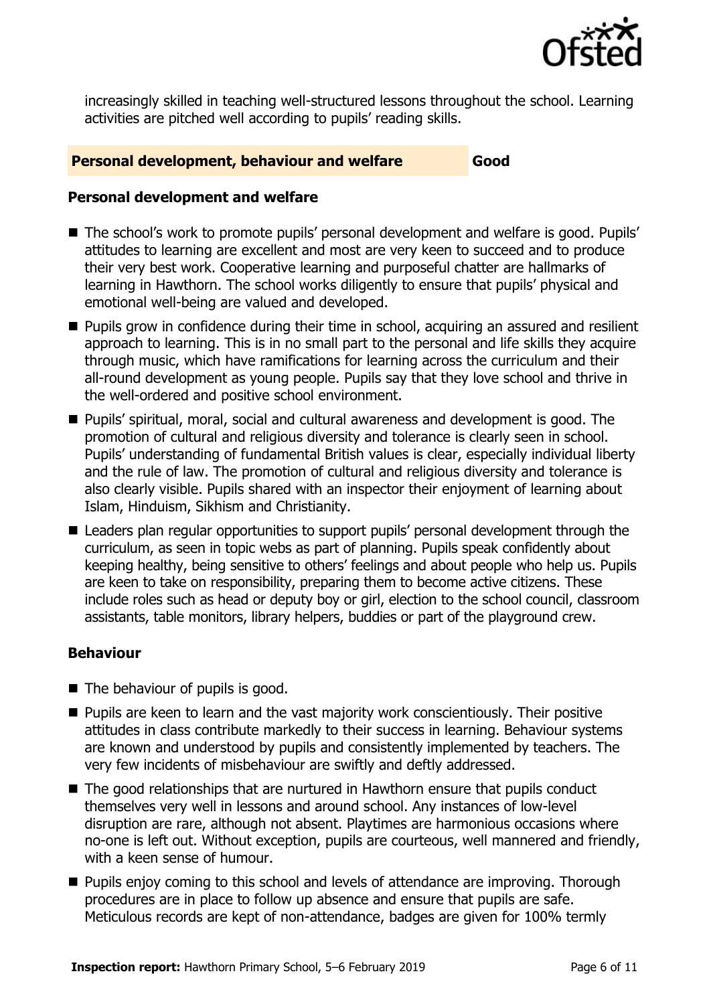

increasingly skilled in teaching well-structured lessons throughout the school. Learning activities are pitched well according to pupils' reading skills.

#### **Personal development, behaviour and welfare Good**

#### **Personal development and welfare**

- The school's work to promote pupils' personal development and welfare is good. Pupils' attitudes to learning are excellent and most are very keen to succeed and to produce their very best work. Cooperative learning and purposeful chatter are hallmarks of learning in Hawthorn. The school works diligently to ensure that pupils' physical and emotional well-being are valued and developed.
- **Pupils grow in confidence during their time in school, acquiring an assured and resilient** approach to learning. This is in no small part to the personal and life skills they acquire through music, which have ramifications for learning across the curriculum and their all-round development as young people. Pupils say that they love school and thrive in the well-ordered and positive school environment.
- Pupils' spiritual, moral, social and cultural awareness and development is good. The promotion of cultural and religious diversity and tolerance is clearly seen in school. Pupils' understanding of fundamental British values is clear, especially individual liberty and the rule of law. The promotion of cultural and religious diversity and tolerance is also clearly visible. Pupils shared with an inspector their enjoyment of learning about Islam, Hinduism, Sikhism and Christianity.
- Leaders plan regular opportunities to support pupils' personal development through the curriculum, as seen in topic webs as part of planning. Pupils speak confidently about keeping healthy, being sensitive to others' feelings and about people who help us. Pupils are keen to take on responsibility, preparing them to become active citizens. These include roles such as head or deputy boy or girl, election to the school council, classroom assistants, table monitors, library helpers, buddies or part of the playground crew.

#### **Behaviour**

- The behaviour of pupils is good.
- **Pupils are keen to learn and the vast majority work conscientiously. Their positive** attitudes in class contribute markedly to their success in learning. Behaviour systems are known and understood by pupils and consistently implemented by teachers. The very few incidents of misbehaviour are swiftly and deftly addressed.
- The good relationships that are nurtured in Hawthorn ensure that pupils conduct themselves very well in lessons and around school. Any instances of low-level disruption are rare, although not absent. Playtimes are harmonious occasions where no-one is left out. Without exception, pupils are courteous, well mannered and friendly, with a keen sense of humour.
- **Pupils enjoy coming to this school and levels of attendance are improving. Thorough** procedures are in place to follow up absence and ensure that pupils are safe. Meticulous records are kept of non-attendance, badges are given for 100% termly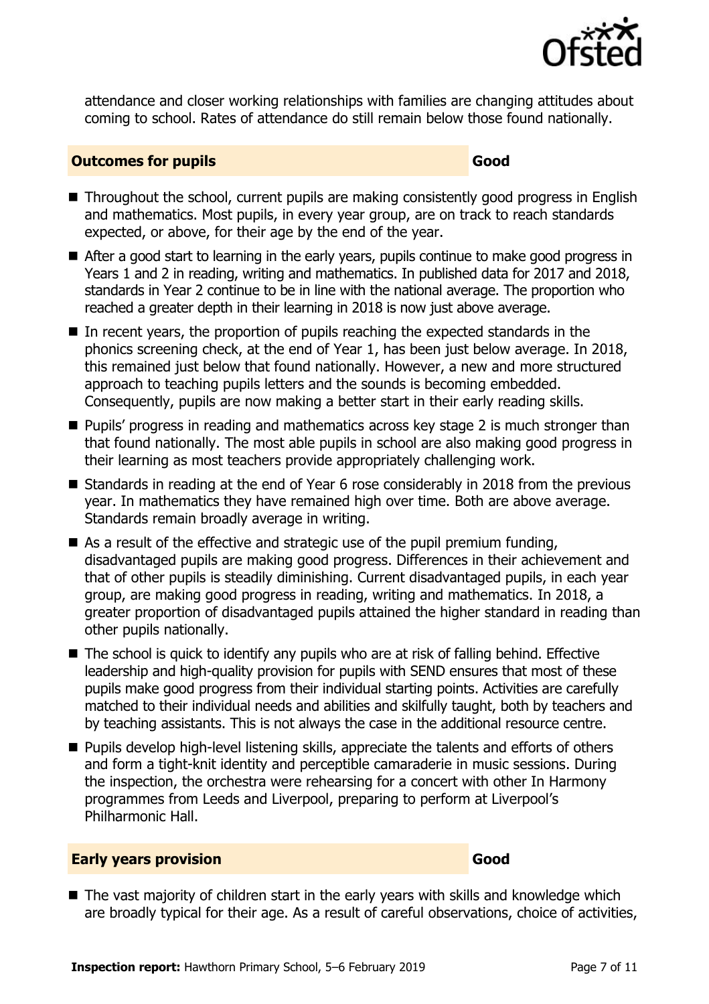

attendance and closer working relationships with families are changing attitudes about coming to school. Rates of attendance do still remain below those found nationally.

#### **Outcomes for pupils Good**

- Throughout the school, current pupils are making consistently good progress in English and mathematics. Most pupils, in every year group, are on track to reach standards expected, or above, for their age by the end of the year.
- After a good start to learning in the early years, pupils continue to make good progress in Years 1 and 2 in reading, writing and mathematics. In published data for 2017 and 2018, standards in Year 2 continue to be in line with the national average. The proportion who reached a greater depth in their learning in 2018 is now just above average.
- $\blacksquare$  In recent years, the proportion of pupils reaching the expected standards in the phonics screening check, at the end of Year 1, has been just below average. In 2018, this remained just below that found nationally. However, a new and more structured approach to teaching pupils letters and the sounds is becoming embedded. Consequently, pupils are now making a better start in their early reading skills.
- **Pupils' progress in reading and mathematics across key stage 2 is much stronger than** that found nationally. The most able pupils in school are also making good progress in their learning as most teachers provide appropriately challenging work.
- Standards in reading at the end of Year 6 rose considerably in 2018 from the previous year. In mathematics they have remained high over time. Both are above average. Standards remain broadly average in writing.
- As a result of the effective and strategic use of the pupil premium funding, disadvantaged pupils are making good progress. Differences in their achievement and that of other pupils is steadily diminishing. Current disadvantaged pupils, in each year group, are making good progress in reading, writing and mathematics. In 2018, a greater proportion of disadvantaged pupils attained the higher standard in reading than other pupils nationally.
- The school is quick to identify any pupils who are at risk of falling behind. Effective leadership and high-quality provision for pupils with SEND ensures that most of these pupils make good progress from their individual starting points. Activities are carefully matched to their individual needs and abilities and skilfully taught, both by teachers and by teaching assistants. This is not always the case in the additional resource centre.
- **Pupils develop high-level listening skills, appreciate the talents and efforts of others** and form a tight-knit identity and perceptible camaraderie in music sessions. During the inspection, the orchestra were rehearsing for a concert with other In Harmony programmes from Leeds and Liverpool, preparing to perform at Liverpool's Philharmonic Hall.

#### **Early years provision Good Good**

■ The vast majority of children start in the early years with skills and knowledge which are broadly typical for their age. As a result of careful observations, choice of activities,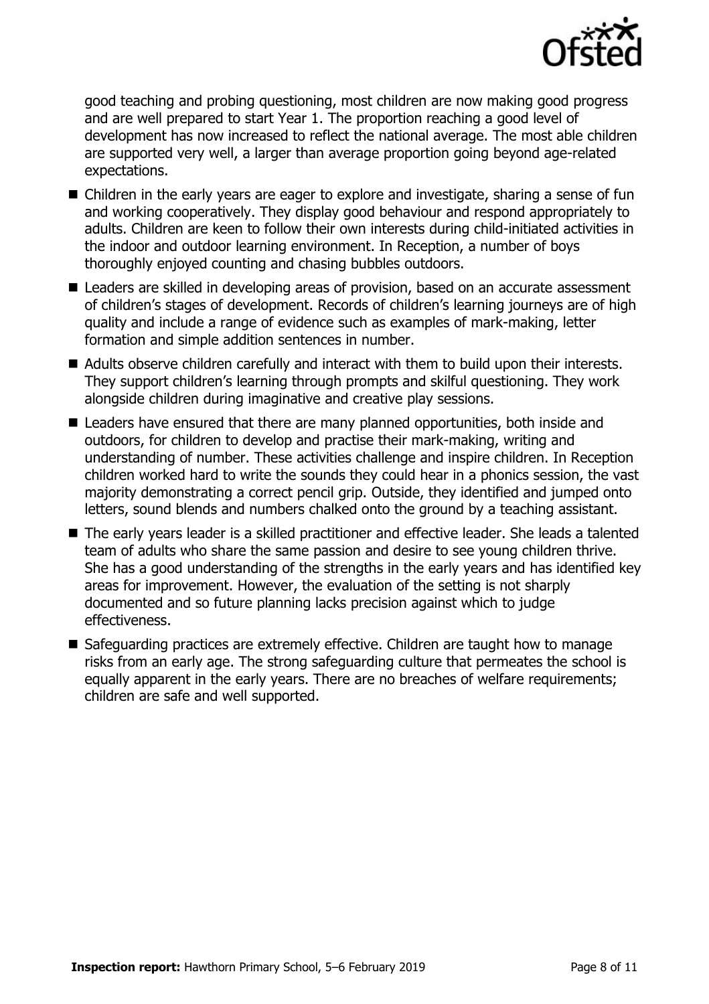

good teaching and probing questioning, most children are now making good progress and are well prepared to start Year 1. The proportion reaching a good level of development has now increased to reflect the national average. The most able children are supported very well, a larger than average proportion going beyond age-related expectations.

- Children in the early years are eager to explore and investigate, sharing a sense of fun and working cooperatively. They display good behaviour and respond appropriately to adults. Children are keen to follow their own interests during child-initiated activities in the indoor and outdoor learning environment. In Reception, a number of boys thoroughly enjoyed counting and chasing bubbles outdoors.
- Leaders are skilled in developing areas of provision, based on an accurate assessment of children's stages of development. Records of children's learning journeys are of high quality and include a range of evidence such as examples of mark-making, letter formation and simple addition sentences in number.
- Adults observe children carefully and interact with them to build upon their interests. They support children's learning through prompts and skilful questioning. They work alongside children during imaginative and creative play sessions.
- Leaders have ensured that there are many planned opportunities, both inside and outdoors, for children to develop and practise their mark-making, writing and understanding of number. These activities challenge and inspire children. In Reception children worked hard to write the sounds they could hear in a phonics session, the vast majority demonstrating a correct pencil grip. Outside, they identified and jumped onto letters, sound blends and numbers chalked onto the ground by a teaching assistant.
- The early years leader is a skilled practitioner and effective leader. She leads a talented team of adults who share the same passion and desire to see young children thrive. She has a good understanding of the strengths in the early years and has identified key areas for improvement. However, the evaluation of the setting is not sharply documented and so future planning lacks precision against which to judge effectiveness.
- Safeguarding practices are extremely effective. Children are taught how to manage risks from an early age. The strong safeguarding culture that permeates the school is equally apparent in the early years. There are no breaches of welfare requirements; children are safe and well supported.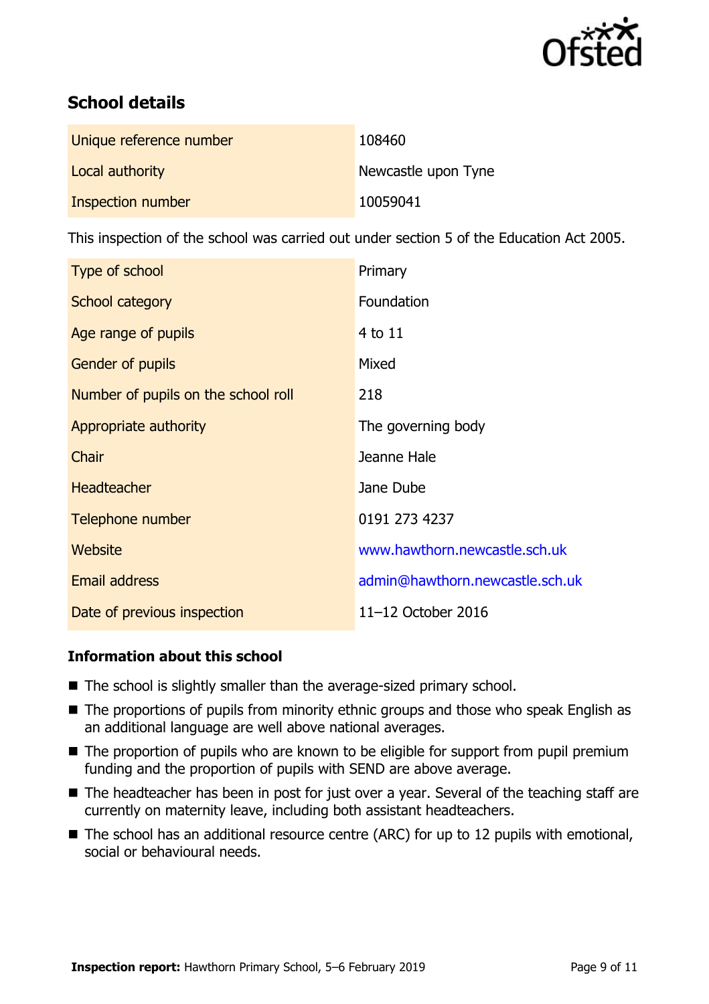

# **School details**

| Unique reference number | 108460              |
|-------------------------|---------------------|
| Local authority         | Newcastle upon Tyne |
| Inspection number       | 10059041            |

This inspection of the school was carried out under section 5 of the Education Act 2005.

| Type of school                      | Primary                         |
|-------------------------------------|---------------------------------|
| School category                     | Foundation                      |
| Age range of pupils                 | 4 to 11                         |
| <b>Gender of pupils</b>             | Mixed                           |
| Number of pupils on the school roll | 218                             |
| Appropriate authority               | The governing body              |
| Chair                               | Jeanne Hale                     |
| <b>Headteacher</b>                  | Jane Dube                       |
| Telephone number                    | 0191 273 4237                   |
| Website                             | www.hawthorn.newcastle.sch.uk   |
| <b>Email address</b>                | admin@hawthorn.newcastle.sch.uk |
| Date of previous inspection         | 11-12 October 2016              |

### **Information about this school**

- The school is slightly smaller than the average-sized primary school.
- The proportions of pupils from minority ethnic groups and those who speak English as an additional language are well above national averages.
- $\blacksquare$  The proportion of pupils who are known to be eligible for support from pupil premium funding and the proportion of pupils with SEND are above average.
- The headteacher has been in post for just over a year. Several of the teaching staff are currently on maternity leave, including both assistant headteachers.
- The school has an additional resource centre (ARC) for up to 12 pupils with emotional, social or behavioural needs.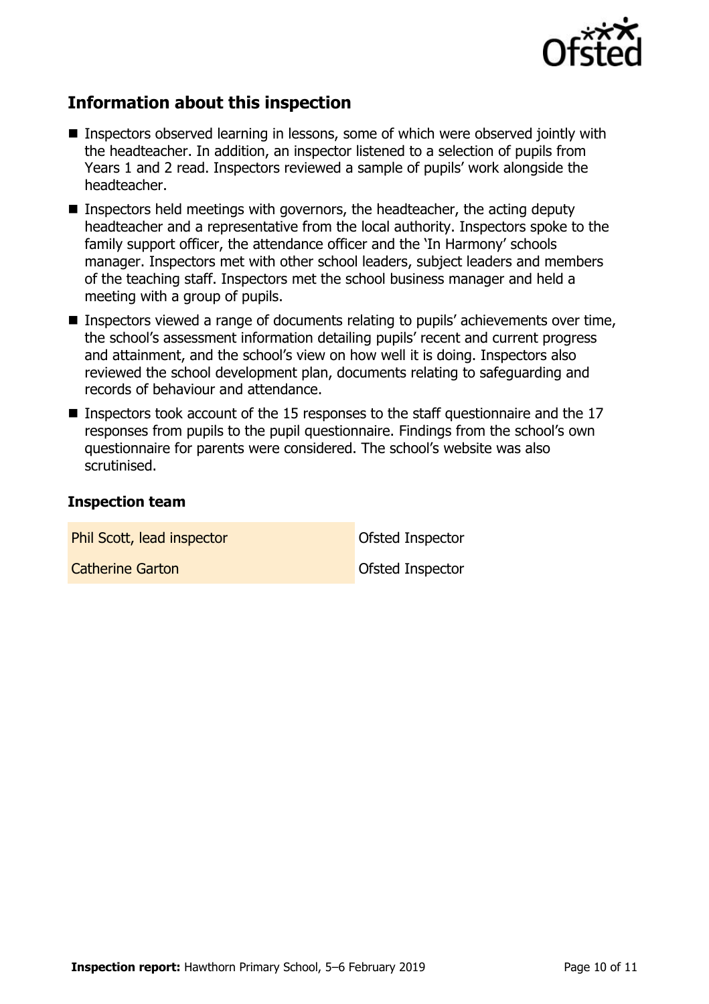

## **Information about this inspection**

- Inspectors observed learning in lessons, some of which were observed jointly with the headteacher. In addition, an inspector listened to a selection of pupils from Years 1 and 2 read. Inspectors reviewed a sample of pupils' work alongside the headteacher.
- **Inspectors held meetings with governors, the headteacher, the acting deputy** headteacher and a representative from the local authority. Inspectors spoke to the family support officer, the attendance officer and the 'In Harmony' schools manager. Inspectors met with other school leaders, subject leaders and members of the teaching staff. Inspectors met the school business manager and held a meeting with a group of pupils.
- Inspectors viewed a range of documents relating to pupils' achievements over time, the school's assessment information detailing pupils' recent and current progress and attainment, and the school's view on how well it is doing. Inspectors also reviewed the school development plan, documents relating to safeguarding and records of behaviour and attendance.
- Inspectors took account of the 15 responses to the staff questionnaire and the 17 responses from pupils to the pupil questionnaire. Findings from the school's own questionnaire for parents were considered. The school's website was also scrutinised.

#### **Inspection team**

| Phil Scott, lead inspector | Ofsted Inspector        |
|----------------------------|-------------------------|
| <b>Catherine Garton</b>    | <b>Ofsted Inspector</b> |